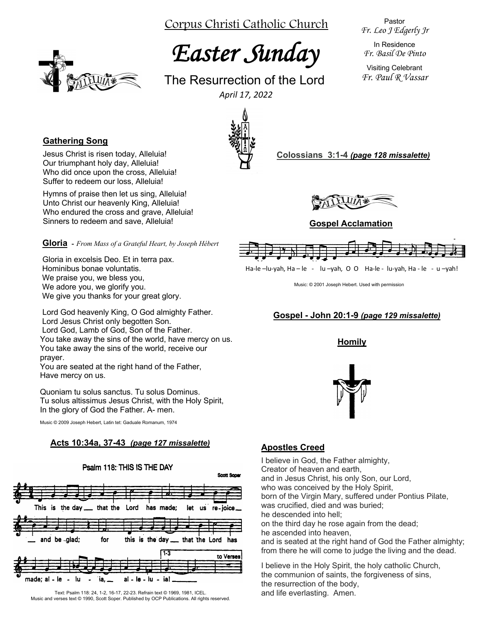Corpus Christi Catholic Church

# *Easter Sunday*

The Resurrection of the Lord *April 17, 2022*

Pastor *Fr. Leo J Edgerly Jr*

In Residence *Fr. Basil De Pinto*

Visiting Celebrant *Fr. Paul R Vassar*



### **Gathering Song**

Jesus Christ is risen today, Alleluia! Our triumphant holy day, Alleluia! Who did once upon the cross, Alleluia! Suffer to redeem our loss, Alleluia!

Hymns of praise then let us sing, Alleluia! Unto Christ our heavenly King, Alleluia! Who endured the cross and grave, Alleluia! Sinners to redeem and save, Alleluia!

**Gloria -** *From Mass of a Grateful Heart, by Joseph Hébert*

Gloria in excelsis Deo. Et in terra pax. Hominibus bonae voluntatis. We praise you, we bless you, We adore you, we glorify you. We give you thanks for your great glory.

Lord God heavenly King, O God almighty Father. Lord Jesus Christ only begotten Son. Lord God, Lamb of God, Son of the Father. You take away the sins of the world, have mercy on us. You take away the sins of the world, receive our prayer.

You are seated at the right hand of the Father, Have mercy on us.

Quoniam tu solus sanctus. Tu solus Dominus. Tu solus altissimus Jesus Christ, with the Holy Spirit, In the glory of God the Father. A- men.

Music © 2009 Joseph Hebert, Latin tet: Gaduale Romanum, 1974

#### **Acts 10:34a, 37-43** *(page 127 missalette)*



Text: Psalm 118: 24, 1-2, 16-17, 22-23. Refrain text © 1969, 1981, ICEL. Music and verses text © 1990, Scott Soper. Published by OCP Publications. All rights reserved.



**Colossians 3:1-4** *(page 128 missalette)*



#### **Gospel Acclamation**



Ha-le –lu-yah, Ha – le - lu –yah, O O Ha-le - lu-yah, Ha - le - u –yah!

Music: © 2001 Joseph Hebert. Used with permission

## **Gospel - John 20:1-9** *(page 129 missalette)*

**Homily**



# **Apostles Creed**

I believe in God, the Father almighty, Creator of heaven and earth, and in Jesus Christ, his only Son, our Lord, who was conceived by the Holy Spirit, born of the Virgin Mary, suffered under Pontius Pilate, was crucified, died and was buried; he descended into hell; on the third day he rose again from the dead; he ascended into heaven, and is seated at the right hand of God the Father almighty: from there he will come to judge the living and the dead.

I believe in the Holy Spirit, the holy catholic Church, the communion of saints, the forgiveness of sins, the resurrection of the body, and life everlasting. Amen.